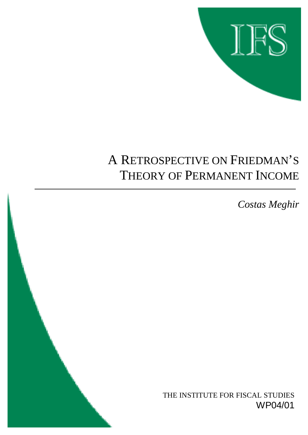

# A RETROSPECTIVE ON FRIEDMAN'S THEORY OF PERMANENT INCOME

*Costas Meghir*

THE INSTITUTE FOR FISCAL STUDIES WP04/01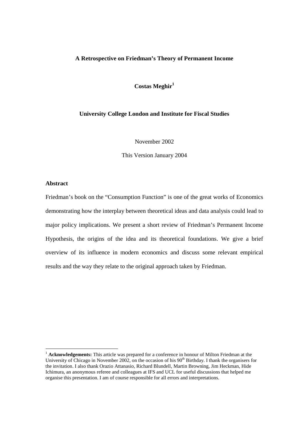# **A Retrospective on Friedman's Theory of Permanent Income**

Costas Meghir<sup>1</sup>

# **University College London and Institute for Fiscal Studies**

November 2002

This Version January 2004

# **Abstract**

l

Friedman's book on the "Consumption Function" is one of the great works of Economics demonstrating how the interplay between theoretical ideas and data analysis could lead to major policy implications. We present a short review of Friedman's Permanent Income Hypothesis, the origins of the idea and its theoretical foundations. We give a brief overview of its influence in modern economics and discuss some relevant empirical results and the way they relate to the original approach taken by Friedman.

<sup>&</sup>lt;sup>1</sup> **Acknowledgements:** This article was prepared for a conference in honour of Milton Friedman at the University of Chicago in November 2002, on the occasion of his  $90<sup>th</sup>$  Birthday. I thank the organisers for the invitation. I also thank Orazio Attanasio, Richard Blundell, Martin Browning, Jim Heckman, Hide Ichimura, an anonymous referee and colleagues at IFS and UCL for useful discussions that helped me organise this presentation. I am of course responsible for all errors and interpretations.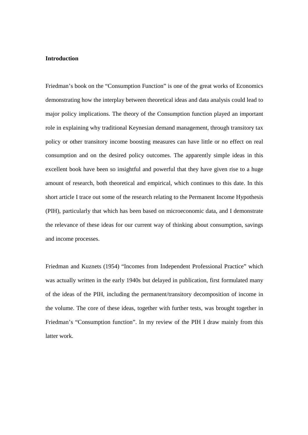# **Introduction**

Friedman's book on the "Consumption Function" is one of the great works of Economics demonstrating how the interplay between theoretical ideas and data analysis could lead to major policy implications. The theory of the Consumption function played an important role in explaining why traditional Keynesian demand management, through transitory tax policy or other transitory income boosting measures can have little or no effect on real consumption and on the desired policy outcomes. The apparently simple ideas in this excellent book have been so insightful and powerful that they have given rise to a huge amount of research, both theoretical and empirical, which continues to this date. In this short article I trace out some of the research relating to the Permanent Income Hypothesis (PIH), particularly that which has been based on microeconomic data, and I demonstrate the relevance of these ideas for our current way of thinking about consumption, savings and income processes.

Friedman and Kuznets (1954) "Incomes from Independent Professional Practice" which was actually written in the early 1940s but delayed in publication, first formulated many of the ideas of the PIH, including the permanent/transitory decomposition of income in the volume. The core of these ideas, together with further tests, was brought together in Friedman's "Consumption function". In my review of the PIH I draw mainly from this latter work.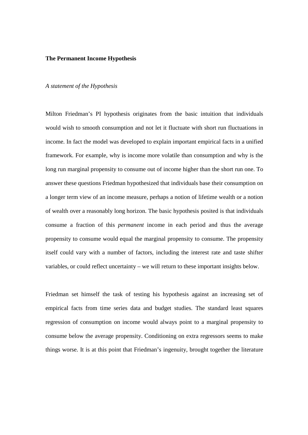### **The Permanent Income Hypothesis**

### *A statement of the Hypothesis*

Milton Friedman's PI hypothesis originates from the basic intuition that individuals would wish to smooth consumption and not let it fluctuate with short run fluctuations in income. In fact the model was developed to explain important empirical facts in a unified framework. For example, why is income more volatile than consumption and why is the long run marginal propensity to consume out of income higher than the short run one. To answer these questions Friedman hypothesized that individuals base their consumption on a longer term view of an income measure, perhaps a notion of lifetime wealth or a notion of wealth over a reasonably long horizon. The basic hypothesis posited is that individuals consume a fraction of this *permanent* income in each period and thus the average propensity to consume would equal the marginal propensity to consume. The propensity itself could vary with a number of factors, including the interest rate and taste shifter variables, or could reflect uncertainty – we will return to these important insights below.

Friedman set himself the task of testing his hypothesis against an increasing set of empirical facts from time series data and budget studies. The standard least squares regression of consumption on income would always point to a marginal propensity to consume below the average propensity. Conditioning on extra regressors seems to make things worse. It is at this point that Friedman's ingenuity, brought together the literature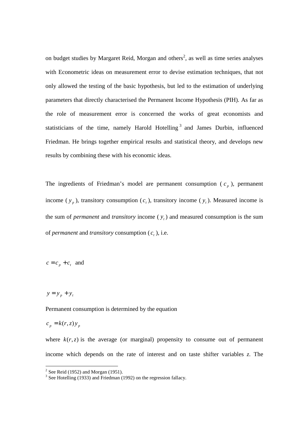on budget studies by Margaret Reid, Morgan and others<sup>2</sup>, as well as time series analyses with Econometric ideas on measurement error to devise estimation techniques, that not only allowed the testing of the basic hypothesis, but led to the estimation of underlying parameters that directly characterised the Permanent Income Hypothesis (PIH). As far as the role of measurement error is concerned the works of great economists and statisticians of the time, namely Harold Hotelling<sup>3</sup> and James Durbin, influenced Friedman. He brings together empirical results and statistical theory, and develops new results by combining these with his economic ideas.

The ingredients of Friedman's model are permanent consumption  $(c_n)$ , permanent income ( $y_p$ ), transitory consumption ( $c_t$ ), transitory income ( $y_t$ ). Measured income is the sum of *permanent* and *transitory* income  $(y<sub>r</sub>)$  and measured consumption is the sum of *permanent* and *transitory* consumption  $(c_i)$ , i.e.

 $c = c_n + c_t$  and

 $y = y_p + y_t$ 

Permanent consumption is determined by the equation

 $c_p = k(r, z) y_p$ 

where  $k(r, z)$  is the average (or marginal) propensity to consume out of permanent income which depends on the rate of interest and on taste shifter variables *z*. The

<sup>&</sup>lt;sup>2</sup> See Reid (1952) and Morgan (1951).<br>
<sup>3</sup> See Hotelling (1933) and Friedman (1992) on the regression fallacy.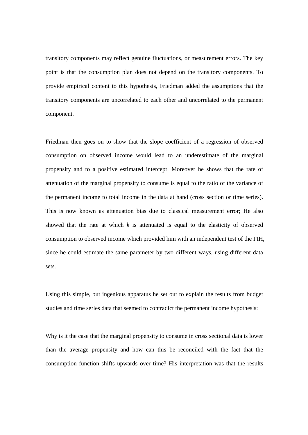transitory components may reflect genuine fluctuations, or measurement errors. The key point is that the consumption plan does not depend on the transitory components. To provide empirical content to this hypothesis, Friedman added the assumptions that the transitory components are uncorrelated to each other and uncorrelated to the permanent component.

Friedman then goes on to show that the slope coefficient of a regression of observed consumption on observed income would lead to an underestimate of the marginal propensity and to a positive estimated intercept. Moreover he shows that the rate of attenuation of the marginal propensity to consume is equal to the ratio of the variance of the permanent income to total income in the data at hand (cross section or time series). This is now known as attenuation bias due to classical measurement error; He also showed that the rate at which *k* is attenuated is equal to the elasticity of observed consumption to observed income which provided him with an independent test of the PIH, since he could estimate the same parameter by two different ways, using different data sets.

Using this simple, but ingenious apparatus he set out to explain the results from budget studies and time series data that seemed to contradict the permanent income hypothesis:

Why is it the case that the marginal propensity to consume in cross sectional data is lower than the average propensity and how can this be reconciled with the fact that the consumption function shifts upwards over time? His interpretation was that the results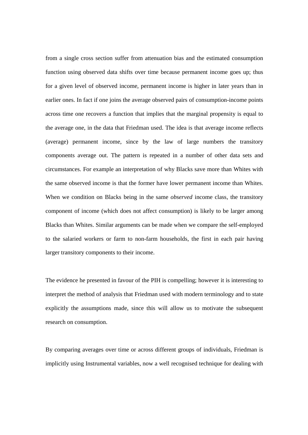from a single cross section suffer from attenuation bias and the estimated consumption function using observed data shifts over time because permanent income goes up; thus for a given level of observed income, permanent income is higher in later years than in earlier ones. In fact if one joins the average observed pairs of consumption-income points across time one recovers a function that implies that the marginal propensity is equal to the average one, in the data that Friedman used. The idea is that average income reflects (average) permanent income, since by the law of large numbers the transitory components average out. The pattern is repeated in a number of other data sets and circumstances. For example an interpretation of why Blacks save more than Whites with the same observed income is that the former have lower permanent income than Whites. When we condition on Blacks being in the same *observed* income class, the transitory component of income (which does not affect consumption) is likely to be larger among Blacks than Whites. Similar arguments can be made when we compare the self-employed to the salaried workers or farm to non-farm households, the first in each pair having larger transitory components to their income.

The evidence he presented in favour of the PIH is compelling; however it is interesting to interpret the method of analysis that Friedman used with modern terminology and to state explicitly the assumptions made, since this will allow us to motivate the subsequent research on consumption.

By comparing averages over time or across different groups of individuals, Friedman is implicitly using Instrumental variables, now a well recognised technique for dealing with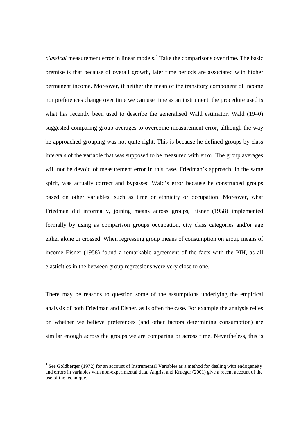*classical* measurement error in linear models.<sup>4</sup> Take the comparisons over time. The basic premise is that because of overall growth, later time periods are associated with higher permanent income. Moreover, if neither the mean of the transitory component of income nor preferences change over time we can use time as an instrument; the procedure used is what has recently been used to describe the generalised Wald estimator. Wald (1940) suggested comparing group averages to overcome measurement error, although the way he approached grouping was not quite right. This is because he defined groups by class intervals of the variable that was supposed to be measured with error. The group averages will not be devoid of measurement error in this case. Friedman's approach, in the same spirit, was actually correct and bypassed Wald's error because he constructed groups based on other variables, such as time or ethnicity or occupation. Moreover, what Friedman did informally, joining means across groups, Eisner (1958) implemented formally by using as comparison groups occupation, city class categories and/or age either alone or crossed. When regressing group means of consumption on group means of income Eisner (1958) found a remarkable agreement of the facts with the PIH, as all elasticities in the between group regressions were very close to one.

There may be reasons to question some of the assumptions underlying the empirical analysis of both Friedman and Eisner, as is often the case. For example the analysis relies on whether we believe preferences (and other factors determining consumption) are similar enough across the groups we are comparing or across time. Nevertheless, this is

l

<sup>&</sup>lt;sup>4</sup> See Goldberger (1972) for an account of Instrumental Variables as a method for dealing with endogeneity and errors in variables with non-experimental data. Angrist and Krueger (2001) give a recent account of the use of the technique.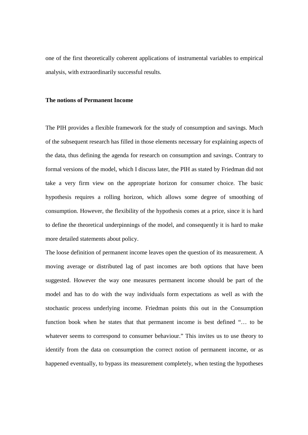one of the first theoretically coherent applications of instrumental variables to empirical analysis, with extraordinarily successful results.

#### **The notions of Permanent Income**

The PIH provides a flexible framework for the study of consumption and savings. Much of the subsequent research has filled in those elements necessary for explaining aspects of the data, thus defining the agenda for research on consumption and savings. Contrary to formal versions of the model, which I discuss later, the PIH as stated by Friedman did not take a very firm view on the appropriate horizon for consumer choice. The basic hypothesis requires a rolling horizon, which allows some degree of smoothing of consumption. However, the flexibility of the hypothesis comes at a price, since it is hard to define the theoretical underpinnings of the model, and consequently it is hard to make more detailed statements about policy.

The loose definition of permanent income leaves open the question of its measurement. A moving average or distributed lag of past incomes are both options that have been suggested. However the way one measures permanent income should be part of the model and has to do with the way individuals form expectations as well as with the stochastic process underlying income. Friedman points this out in the Consumption function book when he states that that permanent income is best defined "… to be whatever seems to correspond to consumer behaviour." This invites us to use theory to identify from the data on consumption the correct notion of permanent income, or as happened eventually, to bypass its measurement completely, when testing the hypotheses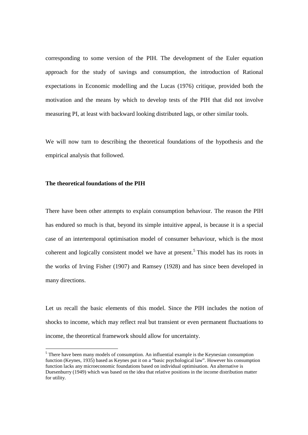corresponding to some version of the PIH. The development of the Euler equation approach for the study of savings and consumption, the introduction of Rational expectations in Economic modelling and the Lucas (1976) critique, provided both the motivation and the means by which to develop tests of the PIH that did not involve measuring PI, at least with backward looking distributed lags, or other similar tools.

We will now turn to describing the theoretical foundations of the hypothesis and the empirical analysis that followed.

# **The theoretical foundations of the PIH**

There have been other attempts to explain consumption behaviour. The reason the PIH has endured so much is that, beyond its simple intuitive appeal, is because it is a special case of an intertemporal optimisation model of consumer behaviour, which is the most coherent and logically consistent model we have at present.<sup>5</sup> This model has its roots in the works of Irving Fisher (1907) and Ramsey (1928) and has since been developed in many directions.

Let us recall the basic elements of this model. Since the PIH includes the notion of shocks to income, which may reflect real but transient or even permanent fluctuations to income, the theoretical framework should allow for uncertainty.

<sup>&</sup>lt;sup>5</sup> There have been many models of consumption. An influential example is the Keynesian consumption function (Keynes, 1935) based as Keynes put it on a "basic psychological law". However his consumption function lacks any microeconomic foundations based on individual optimisation. An alternative is Duesenburry (1949) which was based on the idea that relative positions in the income distribution matter for utility.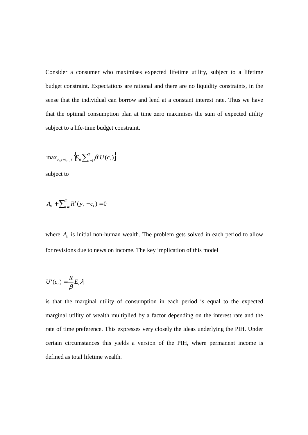Consider a consumer who maximises expected lifetime utility, subject to a lifetime budget constraint. Expectations are rational and there are no liquidity constraints, in the sense that the individual can borrow and lend at a constant interest rate. Thus we have that the optimal consumption plan at time zero maximises the sum of expected utility subject to a life-time budget constraint.

$$
\max\nolimits_{c_t, t=1,\dots,T}\left\{\!E_0\sum\nolimits_{t=1}^T\beta^tU(c_t)\right\}
$$

subject to

$$
A_0 + \sum_{t=1}^T R^t (y_t - c_t) = 0
$$

where  $A_0$  is initial non-human wealth. The problem gets solved in each period to allow for revisions due to news on income. The key implication of this model

$$
U'(c_t) = \frac{R}{\beta} E_t \lambda_t
$$

is that the marginal utility of consumption in each period is equal to the expected marginal utility of wealth multiplied by a factor depending on the interest rate and the rate of time preference. This expresses very closely the ideas underlying the PIH. Under certain circumstances this yields a version of the PIH, where permanent income is defined as total lifetime wealth.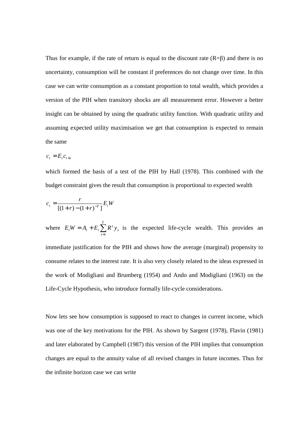Thus for example, if the rate of return is equal to the discount rate  $(R=\beta)$  and there is no uncertainty, consumption will be constant if preferences do not change over time. In this case we can write consumption as a constant proportion to total wealth, which provides a version of the PIH when transitory shocks are all measurement error. However a better insight can be obtained by using the quadratic utility function. With quadratic utility and assuming expected utility maximisation we get that consumption is expected to remain the same

$$
c_t = E_t c_{t+1}
$$

which formed the basis of a test of the PIH by Hall (1978). This combined with the budget constraint gives the result that consumption is proportional to expected wealth

$$
c_{t} = \frac{r}{[(1+r)-(1+r)^{-T}]} E_{t}W
$$

where  $E_t W = A_t + E_t \sum_{s=t}$ *T s t s*  $E_t W = A_t + E_t \sum R^s y_s$  is the expected life-cycle wealth. This provides an immediate justification for the PIH and shows how the average (marginal) propensity to consume relates to the interest rate. It is also very closely related to the ideas expressed in the work of Modigliani and Brumberg (1954) and Ando and Modigliani (1963) on the Life-Cycle Hypothesis, who introduce formally life-cycle considerations.

Now lets see how consumption is supposed to react to changes in current income, which was one of the key motivations for the PIH. As shown by Sargent (1978), Flavin (1981) and later elaborated by Campbell (1987) this version of the PIH implies that consumption changes are equal to the annuity value of all revised changes in future incomes. Thus for the infinite horizon case we can write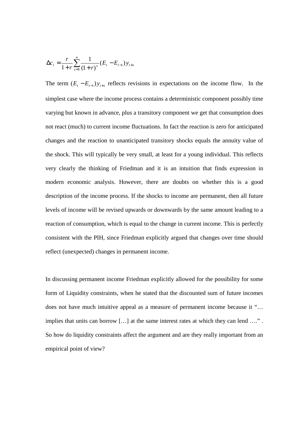$$
\Delta c_t = \frac{r}{1+r} \sum_{s=0}^{\infty} \frac{1}{(1+r)^s} (E_t - E_{t-1}) y_{t+s}
$$

The term  $(E_t - E_{t-1}) y_{t+s}$  reflects revisions in expectations on the income flow. In the simplest case where the income process contains a deterministic component possibly time varying but known in advance, plus a transitory component we get that consumption does not react (much) to current income fluctuations. In fact the reaction is zero for anticipated changes and the reaction to unanticipated transitory shocks equals the annuity value of the shock. This will typically be very small, at least for a young individual. This reflects very clearly the thinking of Friedman and it is an intuition that finds expression in modern economic analysis. However, there are doubts on whether this is a good description of the income process. If the shocks to income are permanent, then all future levels of income will be revised upwards or downwards by the same amount leading to a reaction of consumption, which is equal to the change in current income. This is perfectly consistent with the PIH, since Friedman explicitly argued that changes over time should reflect (unexpected) changes in permanent income.

In discussing permanent income Friedman explicitly allowed for the possibility for some form of Liquidity constraints, when he stated that the discounted sum of future incomes does not have much intuitive appeal as a measure of permanent income because it "… implies that units can borrow […] at the same interest rates at which they can lend …." . So how do liquidity constraints affect the argument and are they really important from an empirical point of view?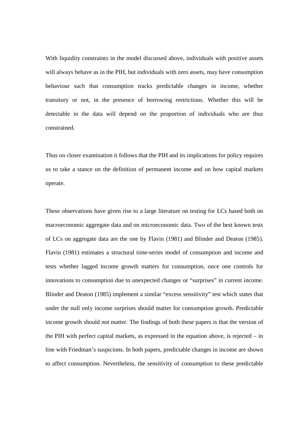With liquidity constraints in the model discussed above, individuals with positive assets will always behave as in the PIH, but individuals with zero assets, may have consumption behaviour such that consumption tracks predictable changes in income, whether transitory or not, in the presence of borrowing restrictions. Whether this will be detectable in the data will depend on the proportion of individuals who are thus constrained.

Thus on closer examination it follows that the PIH and its implications for policy requires us to take a stance on the definition of permanent income and on how capital markets operate.

These observations have given rise to a large literature on testing for LCs based both on macroeconomic aggregate data and on microeconomic data. Two of the best known tests of LCs on aggregate data are the one by Flavin (1981) and Blinder and Deaton (1985). Flavin (1981) estimates a structural time-series model of consumption and income and tests whether lagged income growth matters for consumption, once one controls for innovations to consumption due to unexpected changes or "surprises" in current income. Blinder and Deaton (1985) implement a similar "excess sensitivity" test which states that under the null only income surprises should matter for consumption growth. Predictable income growth should not matter. The findings of both these papers is that the version of the PIH with perfect capital markets, as expressed in the equation above, is rejected – in line with Friedman's suspicions. In both papers, predictable changes in income are shown to affect consumption. Nevertheless, the sensitivity of consumption to these predictable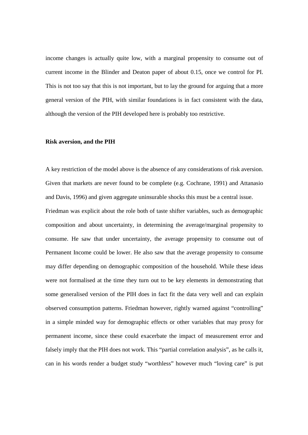income changes is actually quite low, with a marginal propensity to consume out of current income in the Blinder and Deaton paper of about 0.15, once we control for PI. This is not too say that this is not important, but to lay the ground for arguing that a more general version of the PIH, with similar foundations is in fact consistent with the data, although the version of the PIH developed here is probably too restrictive.

# **Risk aversion, and the PIH**

A key restriction of the model above is the absence of any considerations of risk aversion. Given that markets are never found to be complete (e.g. Cochrane, 1991) and Attanasio and Davis, 1996) and given aggregate uninsurable shocks this must be a central issue. Friedman was explicit about the role both of taste shifter variables, such as demographic composition and about uncertainty, in determining the average/marginal propensity to consume. He saw that under uncertainty, the average propensity to consume out of Permanent Income could be lower. He also saw that the average propensity to consume may differ depending on demographic composition of the household. While these ideas were not formalised at the time they turn out to be key elements in demonstrating that some generalised version of the PIH does in fact fit the data very well and can explain observed consumption patterns. Friedman however, rightly warned against "controlling" in a simple minded way for demographic effects or other variables that may proxy for permanent income, since these could exacerbate the impact of measurement error and falsely imply that the PIH does not work. This "partial correlation analysis", as he calls it, can in his words render a budget study "worthless" however much "loving care" is put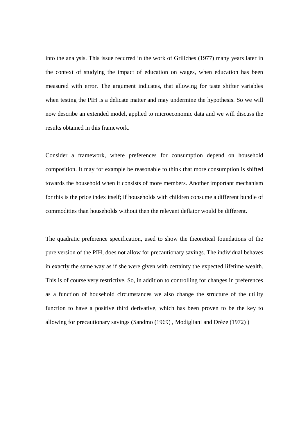into the analysis. This issue recurred in the work of Griliches (1977) many years later in the context of studying the impact of education on wages, when education has been measured with error. The argument indicates, that allowing for taste shifter variables when testing the PIH is a delicate matter and may undermine the hypothesis. So we will now describe an extended model, applied to microeconomic data and we will discuss the results obtained in this framework.

Consider a framework, where preferences for consumption depend on household composition. It may for example be reasonable to think that more consumption is shifted towards the household when it consists of more members. Another important mechanism for this is the price index itself; if households with children consume a different bundle of commodities than households without then the relevant deflator would be different.

The quadratic preference specification, used to show the theoretical foundations of the pure version of the PIH, does not allow for precautionary savings. The individual behaves in exactly the same way as if she were given with certainty the expected lifetime wealth. This is of course very restrictive. So, in addition to controlling for changes in preferences as a function of household circumstances we also change the structure of the utility function to have a positive third derivative, which has been proven to be the key to allowing for precautionary savings (Sandmo (1969) , Modigliani and Drèze (1972) )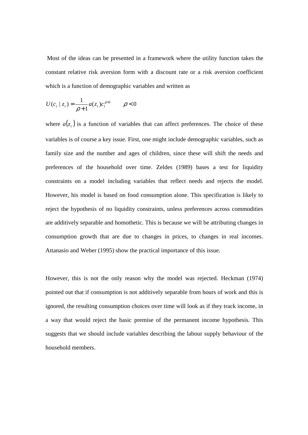Most of the ideas can be presented in a framework where the utility function takes the constant relative risk aversion form with a discount rate or a risk aversion coefficient which is a function of demographic variables and written as

$$
U(c_t | z_t) = \frac{1}{\rho + 1} a(z_t) c_t^{\rho + 1} \qquad \rho < 0
$$

where  $a(z_t)$  is a function of variables that can affect preferences. The choice of these variables is of course a key issue. First, one might include demographic variables, such as family size and the number and ages of children, since these will shift the needs and preferences of the household over time. Zeldes (1989) bases a test for liquidity constraints on a model including variables that reflect needs and rejects the model. However, his model is based on food consumption alone. This specification is likely to reject the hypothesis of no liquidity constraints, unless preferences across commodities are additively separable and homothetic. This is because we will be attributing changes in consumption growth that are due to changes in prices, to changes in real incomes. Attanasio and Weber (1995) show the practical importance of this issue.

However, this is not the only reason why the model was rejected. Heckman (1974) pointed out that if consumption is not additively separable from hours of work and this is ignored, the resulting consumption choices over time will look as if they track income, in a way that would reject the basic premise of the permanent income hypothesis. This suggests that we should include variables describing the labour supply behaviour of the household members.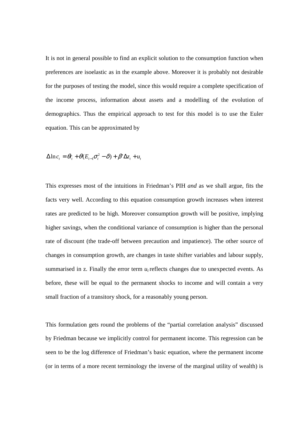It is not in general possible to find an explicit solution to the consumption function when preferences are isoelastic as in the example above. Moreover it is probably not desirable for the purposes of testing the model, since this would require a complete specification of the income process, information about assets and a modelling of the evolution of demographics. Thus the empirical approach to test for this model is to use the Euler equation. This can be approximated by

$$
\Delta \ln c_t = \theta r_t + \theta (E_{t-1} \sigma_t^2 - \delta) + \beta' \Delta z_t + u_t
$$

This expresses most of the intuitions in Friedman's PIH *and* as we shall argue, fits the facts very well. According to this equation consumption growth increases when interest rates are predicted to be high. Moreover consumption growth will be positive, implying higher savings, when the conditional variance of consumption is higher than the personal rate of discount (the trade-off between precaution and impatience). The other source of changes in consumption growth, are changes in taste shifter variables and labour supply, summarised in z. Finally the error term  $u_t$  reflects changes due to unexpected events. As before, these will be equal to the permanent shocks to income and will contain a very small fraction of a transitory shock, for a reasonably young person.

This formulation gets round the problems of the "partial correlation analysis" discussed by Friedman because we implicitly control for permanent income. This regression can be seen to be the log difference of Friedman's basic equation, where the permanent income (or in terms of a more recent terminology the inverse of the marginal utility of wealth) is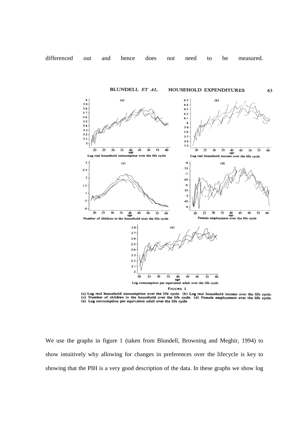

(a) Log real household consumption over the life cycle. (b) Log real household income over the life cycle.<br>(c) Mumber of children in the household over the life cycle. (d) Female employment over the life cycle. (e) Log consumption per equivalent adult over the life cycle

We use the graphs in figure 1 (taken from Blundell, Browning and Meghir, 1994) to show intuitively why allowing for changes in preferences over the lifecycle is key to showing that the PIH is a very good description of the data. In these graphs we show log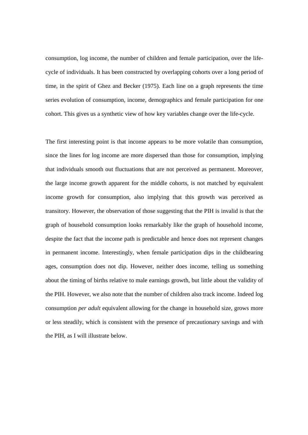consumption, log income, the number of children and female participation, over the lifecycle of individuals. It has been constructed by overlapping cohorts over a long period of time, in the spirit of Ghez and Becker (1975). Each line on a graph represents the time series evolution of consumption, income, demographics and female participation for one cohort. This gives us a synthetic view of how key variables change over the life-cycle.

The first interesting point is that income appears to be more volatile than consumption, since the lines for log income are more dispersed than those for consumption, implying that individuals smooth out fluctuations that are not perceived as permanent. Moreover, the large income growth apparent for the middle cohorts, is not matched by equivalent income growth for consumption, also implying that this growth was perceived as transitory. However, the observation of those suggesting that the PIH is invalid is that the graph of household consumption looks remarkably like the graph of household income, despite the fact that the income path is predictable and hence does not represent changes in permanent income. Interestingly, when female participation dips in the childbearing ages, consumption does not dip. However, neither does income, telling us something about the timing of births relative to male earnings growth, but little about the validity of the PIH. However, we also note that the number of children also track income. Indeed log consumption *per adult* equivalent allowing for the change in household size, grows more or less steadily, which is consistent with the presence of precautionary savings and with the PIH, as I will illustrate below.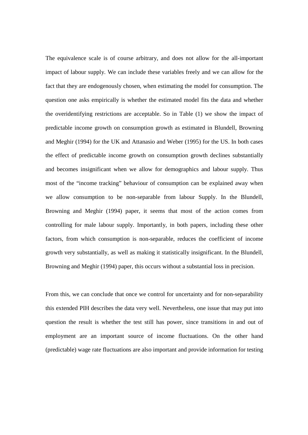The equivalence scale is of course arbitrary, and does not allow for the all-important impact of labour supply. We can include these variables freely and we can allow for the fact that they are endogenously chosen, when estimating the model for consumption. The question one asks empirically is whether the estimated model fits the data and whether the overidentifying restrictions are acceptable. So in Table (1) we show the impact of predictable income growth on consumption growth as estimated in Blundell, Browning and Meghir (1994) for the UK and Attanasio and Weber (1995) for the US. In both cases the effect of predictable income growth on consumption growth declines substantially and becomes insignificant when we allow for demographics and labour supply. Thus most of the "income tracking" behaviour of consumption can be explained away when we allow consumption to be non-separable from labour Supply. In the Blundell, Browning and Meghir (1994) paper, it seems that most of the action comes from controlling for male labour supply. Importantly, in both papers, including these other factors, from which consumption is non-separable, reduces the coefficient of income growth very substantially, as well as making it statistically insignificant. In the Blundell, Browning and Meghir (1994) paper, this occurs without a substantial loss in precision.

From this, we can conclude that once we control for uncertainty and for non-separability this extended PIH describes the data very well. Nevertheless, one issue that may put into question the result is whether the test still has power, since transitions in and out of employment are an important source of income fluctuations. On the other hand (predictable) wage rate fluctuations are also important and provide information for testing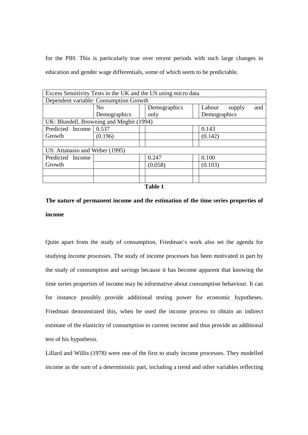for the PIH. This is particularly true over recent periods with such large changes in education and gender wage differentials, some of which seem to be predictable.

| Excess Sensitivity Tests in the UK and the US using micro data |                |              |                         |
|----------------------------------------------------------------|----------------|--------------|-------------------------|
| Dependent variable: Consumption Growth                         |                |              |                         |
|                                                                | N <sub>o</sub> | Demographics | Labour<br>supply<br>and |
|                                                                | Demographics   | only         | Demographics            |
| UK: Blundell, Browning and Meghir (1994)                       |                |              |                         |
| Predicted Income 0.537                                         |                |              | 0.143                   |
| Growth                                                         | (0.196)        |              | (0.142)                 |
|                                                                |                |              |                         |
| US: Attanasio and Weber (1995)                                 |                |              |                         |
| Predicted Income                                               |                | 0.247        | 0.100                   |
| Growth                                                         |                | (0.058)      | (0.103)                 |
|                                                                |                |              |                         |
|                                                                |                |              |                         |
|                                                                |                |              |                         |

**Table 1** 

# **The nature of permanent income and the estimation of the time series properties of income**

Quite apart from the study of consumption, Friedman's work also set the agenda for studying income processes. The study of income processes has been motivated in part by the study of consumption and savings because it has become apparent that knowing the time series properties of income may be informative about consumption behaviour. It can for instance possibly provide additional testing power for economic hypotheses. Friedman demonstrated this, when he used the income process to obtain an indirect estimate of the elasticity of consumption to current income and thus provide an additional test of his hypothesis.

Lillard and Willis (1978) were one of the first to study income processes. They modelled income as the sum of a deterministic part, including a trend and other variables reflecting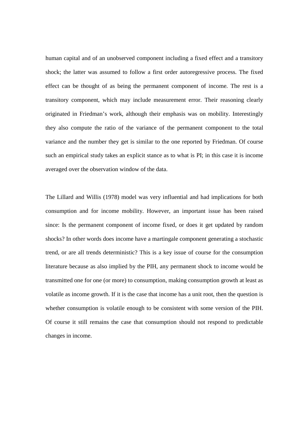human capital and of an unobserved component including a fixed effect and a transitory shock; the latter was assumed to follow a first order autoregressive process. The fixed effect can be thought of as being the permanent component of income. The rest is a transitory component, which may include measurement error. Their reasoning clearly originated in Friedman's work, although their emphasis was on mobility. Interestingly they also compute the ratio of the variance of the permanent component to the total variance and the number they get is similar to the one reported by Friedman. Of course such an empirical study takes an explicit stance as to what is PI; in this case it is income averaged over the observation window of the data.

The Lillard and Willis (1978) model was very influential and had implications for both consumption and for income mobility. However, an important issue has been raised since: Is the permanent component of income fixed, or does it get updated by random shocks? In other words does income have a martingale component generating a stochastic trend, or are all trends deterministic? This is a key issue of course for the consumption literature because as also implied by the PIH, any permanent shock to income would be transmitted one for one (or more) to consumption, making consumption growth at least as volatile as income growth. If it is the case that income has a unit root, then the question is whether consumption is volatile enough to be consistent with some version of the PIH. Of course it still remains the case that consumption should not respond to predictable changes in income.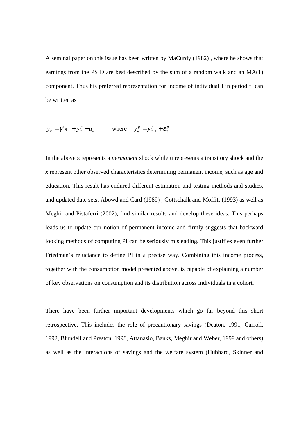A seminal paper on this issue has been written by MaCurdy (1982) , where he shows that earnings from the PSID are best described by the sum of a random walk and an MA(1) component. Thus his preferred representation for income of individual I in period t can be written as

$$
y_{it} = \gamma' x_{it} + y_{it}^p + u_{it}
$$
 where 
$$
y_{it}^p = y_{it-1}^p + \varepsilon_{it}^p
$$

In the above ε represents a *permanent* shock while u represents a transitory shock and the *x* represent other observed characteristics determining permanent income, such as age and education. This result has endured different estimation and testing methods and studies, and updated date sets. Abowd and Card (1989) , Gottschalk and Moffitt (1993) as well as Meghir and Pistaferri (2002), find similar results and develop these ideas. This perhaps leads us to update our notion of permanent income and firmly suggests that backward looking methods of computing PI can be seriously misleading. This justifies even further Friedman's reluctance to define PI in a precise way. Combining this income process, together with the consumption model presented above, is capable of explaining a number of key observations on consumption and its distribution across individuals in a cohort.

There have been further important developments which go far beyond this short retrospective. This includes the role of precautionary savings (Deaton, 1991, Carroll, 1992, Blundell and Preston, 1998, Attanasio, Banks, Meghir and Weber, 1999 and others) as well as the interactions of savings and the welfare system (Hubbard, Skinner and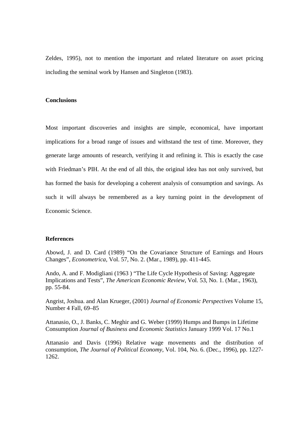Zeldes, 1995), not to mention the important and related literature on asset pricing including the seminal work by Hansen and Singleton (1983).

# **Conclusions**

Most important discoveries and insights are simple, economical, have important implications for a broad range of issues and withstand the test of time. Moreover, they generate large amounts of research, verifying it and refining it. This is exactly the case with Friedman's PIH. At the end of all this, the original idea has not only survived, but has formed the basis for developing a coherent analysis of consumption and savings. As such it will always be remembered as a key turning point in the development of Economic Science.

#### **References**

Abowd, J. and D. Card (1989) "On the Covariance Structure of Earnings and Hours Changes", *Econometrica*, Vol. 57, No. 2. (Mar., 1989), pp. 411-445.

Ando, A. and F. Modigliani (1963 ) "The Life Cycle Hypothesis of Saving: Aggregate Implications and Tests", *The American Economic Review*, Vol. 53, No. 1. (Mar., 1963), pp. 55-84.

Angrist, Joshua. and Alan Krueger, (2001) *Journal of Economic Perspectives* Volume 15, Number 4 Fall, 69–85

Attanasio, O., J. Banks, C. Meghir and G. Weber (1999) Humps and Bumps in Lifetime Consumption *Journal of Business and Economic Statistics* January 1999 Vol. 17 No.1

Attanasio and Davis (1996) Relative wage movements and the distribution of consumption, *The Journal of Political Economy*, Vol. 104, No. 6. (Dec., 1996), pp. 1227- 1262.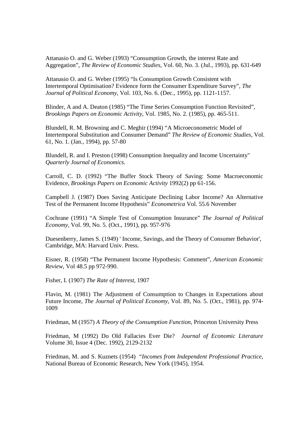Attanasio O. and G. Weber (1993) "Consumption Growth, the interest Rate and Aggregation", *The Review of Economic Studies*, Vol. 60, No. 3. (Jul., 1993), pp. 631-649

Attanasio O. and G. Weber (1995) "Is Consumption Growth Consistent with Intertemporal Optimisation? Evidence form the Consumer Expenditure Survey", *The Journal of Political Economy*, Vol. 103, No. 6. (Dec., 1995), pp. 1121-1157.

Blinder, A and A. Deaton (1985) "The Time Series Consumption Function Revisited", *Brookings Papers on Economic Activity*, Vol. 1985, No. 2. (1985), pp. 465-511.

Blundell, R. M. Browning and C. Meghir (1994) "A Microeconometric Model of Intertemporal Substitution and Consumer Demand" *The Review of Economic Studies*, Vol. 61, No. 1. (Jan., 1994), pp. 57-80

Blundell, R. and I. Preston (1998) Consumption Inequality and Income Uncertainty" *Quarterly Journal of Economics.*

Carroll, C. D. (1992) "The Buffer Stock Theory of Saving: Some Macroeconomic Evidence, *Brookings Papers on Economic Activity* 1992(2) pp 61-156.

Campbell J. (1987) Does Saving Anticipate Declining Labor Income? An Alternative Test of the Permanent Income Hypothesis" *Econometrica* Vol. 55.6 November

Cochrane (1991) "A Simple Test of Consumption Insurance" *The Journal of Political Economy*, Vol. 99, No. 5. (Oct., 1991), pp. 957-976

Duesenberry, James S. (1949) ' Income, Savings, and the Theory of Consumer Behavior', Cambridge, MA: Harvard Univ. Press.

Eisner, R. (1958) "The Permanent Income Hypothesis: Comment", *American Economic Review*, Vol 48.5 pp 972-990.

Fisher, I. (1907) *The Rate of Interest*, 1907

Flavin, M. (1981) The Adjustment of Consumption to Changes in Expectations about Future Income, *The Journal of Political Economy*, Vol. 89, No. 5. (Oct., 1981), pp. 974- 1009

Friedman, M (1957) *A Theory of the Consumption Function,* Princeton University Press

Friedman, M (1992) Do Old Fallacies Ever Die? *Journal of Economic Literature* Volume 30, Issue 4 (Dec. 1992), 2129-2132

Friedman, M. and S. Kuznets (1954) "*Incomes from Independent Professional Practice,*  National Bureau of Economic Research, New York (1945), 1954.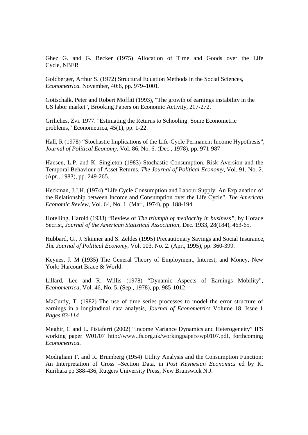Ghez G. and G. Becker (1975) Allocation of Time and Goods over the Life Cycle, NBER

Goldberger, Arthur S. (1972) Structural Equation Methods in the Social Sciences, *Econometrica.* November, 40:6, pp. 979–1001.

Gottschalk, Peter and Robert Moffitt (1993), "The growth of earnings instability in the US labor market", Brooking Papers on Economic Activity, 217-272.

Griliches, Zvi. 1977. "Estimating the Returns to Schooling: Some Econometric problems," Econometrica, 45(1), pp. 1-22.

Hall, R (1978) "Stochastic Implications of the Life-Cycle Permanent Income Hypothesis", *Journal of Political Economy*, Vol. 86, No. 6. (Dec., 1978), pp. 971-987

Hansen, L.P. and K. Singleton (1983) Stochastic Consumption, Risk Aversion and the Temporal Behaviour of Asset Returns, *The Journal of Political Economy*, Vol. 91, No. 2. (Apr., 1983), pp. 249-265.

Heckman, J.J.H. (1974) "Life Cycle Consumption and Labour Supply: An Explanation of the Relationship between Income and Consumption over the Life Cycle", *The American Economic Review*, Vol. 64, No. 1. (Mar., 1974), pp. 188-194.

Hotelling, Harold (1933) "Review of *The triumph of mediocrity in business"*, by Horace Secrist, *Journal of the American Statistical Association*, Dec. 1933, 28(184), 463-65.

Hubbard, G., J. Skinner and S. Zeldes (1995) Precautionary Savings and Social Insurance, *The Journal of Political Economy*, Vol. 103, No. 2. (Apr., 1995), pp. 360-399.

Keynes, J. M (1935) The General Theory of Employment, Interest, and Money, New York: Harcourt Brace & World.

Lillard, Lee and R. Willis (1978) "Dynamic Aspects of Earnings Mobility", *Econometrica*, Vol. 46, No. 5. (Sep., 1978), pp. 985-1012

MaCurdy, T. (1982) The use of time series processes to model the error structure of earnings in a longitudinal data analysis, *Journal of Econometrics* Volume 18, Issue 1 *Pages 83-114*

Meghir, C and L. Pistaferri (2002) "Income Variance Dynamics and Heterogeneity" IFS working paper W01/07 http://www.ifs.org.uk/workingpapers/wp0107.pdf, forthcoming *Econometrica*.

Modigliani F. and R. Brumberg (1954) Utility Analysis and the Consumption Function: An Interpretation of Cross –Section Data, in *Post Keynesian Economics* ed by K. Kurihara pp 388-436, Rutgers University Press, New Brunswick N.J.